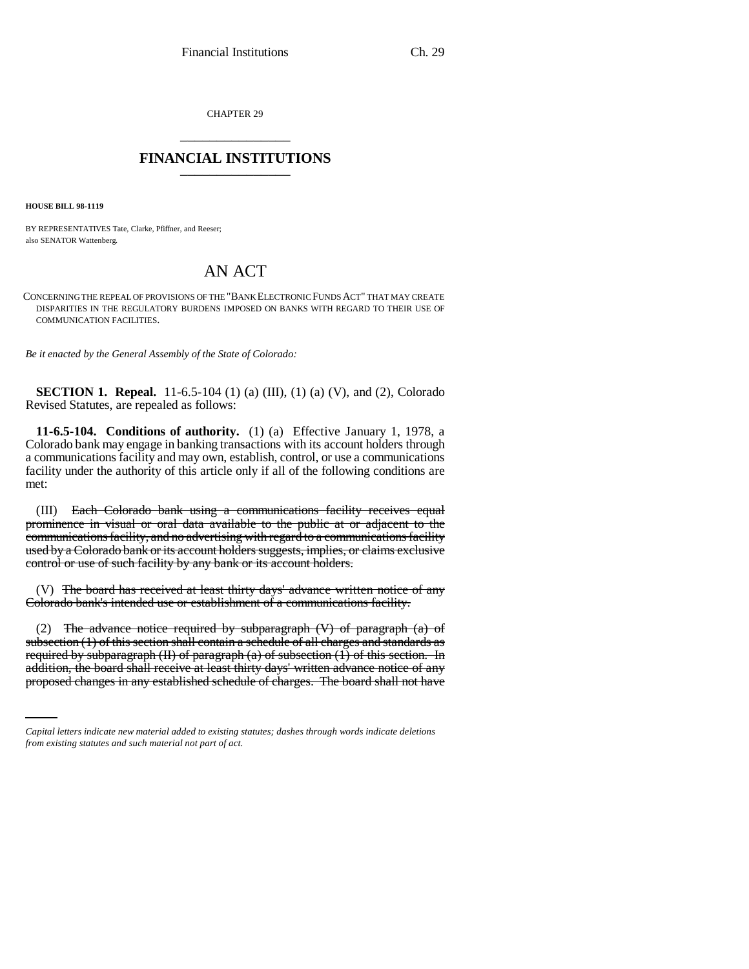CHAPTER 29 \_\_\_\_\_\_\_\_\_\_\_\_\_\_\_

## **FINANCIAL INSTITUTIONS** \_\_\_\_\_\_\_\_\_\_\_\_\_\_\_

**HOUSE BILL 98-1119**

BY REPRESENTATIVES Tate, Clarke, Pfiffner, and Reeser; also SENATOR Wattenberg.

## AN ACT

CONCERNING THE REPEAL OF PROVISIONS OF THE "BANK ELECTRONIC FUNDS ACT" THAT MAY CREATE DISPARITIES IN THE REGULATORY BURDENS IMPOSED ON BANKS WITH REGARD TO THEIR USE OF COMMUNICATION FACILITIES.

*Be it enacted by the General Assembly of the State of Colorado:*

**SECTION 1. Repeal.** 11-6.5-104 (1) (a) (III), (1) (a) (V), and (2), Colorado Revised Statutes, are repealed as follows:

**11-6.5-104. Conditions of authority.** (1) (a) Effective January 1, 1978, a Colorado bank may engage in banking transactions with its account holders through a communications facility and may own, establish, control, or use a communications facility under the authority of this article only if all of the following conditions are met:

(III) Each Colorado bank using a communications facility receives equal prominence in visual or oral data available to the public at or adjacent to the communications facility, and no advertising with regard to a communications facility used by a Colorado bank or its account holders suggests, implies, or claims exclusive control or use of such facility by any bank or its account holders.

(V) The board has received at least thirty days' advance written notice of any Colorado bank's intended use or establishment of a communications facility.

required by subparagraph (II) of paragraph (a) of subsection (1) of this section. In (2) The advance notice required by subparagraph  $(V)$  of paragraph  $(a)$  of subsection (1) of this section shall contain a schedule of all charges and standards as addition, the board shall receive at least thirty days' written advance notice of any proposed changes in any established schedule of charges. The board shall not have

*Capital letters indicate new material added to existing statutes; dashes through words indicate deletions from existing statutes and such material not part of act.*